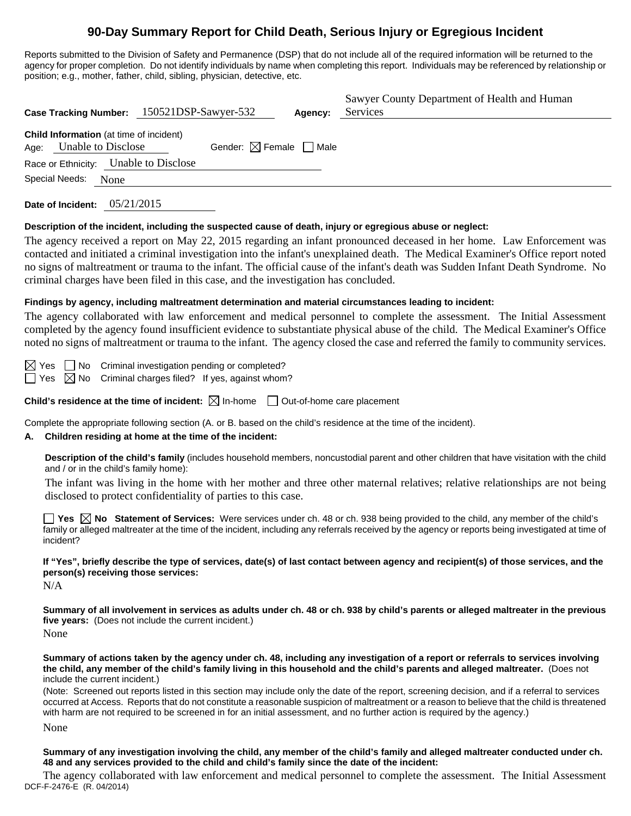# **90-Day Summary Report for Child Death, Serious Injury or Egregious Incident**

Reports submitted to the Division of Safety and Permanence (DSP) that do not include all of the required information will be returned to the agency for proper completion. Do not identify individuals by name when completing this report. Individuals may be referenced by relationship or position; e.g., mother, father, child, sibling, physician, detective, etc.

| Case Tracking Number: 150521DSP-Sawyer-532                                          | Sawyer County Department of Health and Human<br>Services<br>Agency: |
|-------------------------------------------------------------------------------------|---------------------------------------------------------------------|
| <b>Child Information</b> (at time of incident)<br><b>Unable to Disclose</b><br>Age: | Gender: $\boxtimes$ Female $\Box$ Male                              |
| Race or Ethnicity: Unable to Disclose                                               |                                                                     |
| Special Needs:<br>None                                                              |                                                                     |
| Date of Incident: $05/21/2015$                                                      |                                                                     |

## **Description of the incident, including the suspected cause of death, injury or egregious abuse or neglect:**

The agency received a report on May 22, 2015 regarding an infant pronounced deceased in her home. Law Enforcement was contacted and initiated a criminal investigation into the infant's unexplained death. The Medical Examiner's Office report noted no signs of maltreatment or trauma to the infant. The official cause of the infant's death was Sudden Infant Death Syndrome. No criminal charges have been filed in this case, and the investigation has concluded.

## **Findings by agency, including maltreatment determination and material circumstances leading to incident:**

The agency collaborated with law enforcement and medical personnel to complete the assessment. The Initial Assessment completed by the agency found insufficient evidence to substantiate physical abuse of the child. The Medical Examiner's Office noted no signs of maltreatment or trauma to the infant. The agency closed the case and referred the family to community services.

 $\boxtimes$  Yes  $\Box$  No Criminal investigation pending or completed?  $\Box$  Yes  $\boxtimes$  No Criminal charges filed? If yes, against whom?

**Child's residence at the time of incident:**  $\boxtimes$  In-home  $\Box$  Out-of-home care placement

Complete the appropriate following section (A. or B. based on the child's residence at the time of the incident).

## **A. Children residing at home at the time of the incident:**

**Description of the child's family** (includes household members, noncustodial parent and other children that have visitation with the child and / or in the child's family home):

 The infant was living in the home with her mother and three other maternal relatives; relative relationships are not being disclosed to protect confidentiality of parties to this case.

**Yes No** Statement of Services: Were services under ch. 48 or ch. 938 being provided to the child, any member of the child's family or alleged maltreater at the time of the incident, including any referrals received by the agency or reports being investigated at time of incident?

**If "Yes", briefly describe the type of services, date(s) of last contact between agency and recipient(s) of those services, and the person(s) receiving those services:** 

N/A

**Summary of all involvement in services as adults under ch. 48 or ch. 938 by child's parents or alleged maltreater in the previous five years:** (Does not include the current incident.)

None

**Summary of actions taken by the agency under ch. 48, including any investigation of a report or referrals to services involving the child, any member of the child's family living in this household and the child's parents and alleged maltreater.** (Does not include the current incident.)

(Note: Screened out reports listed in this section may include only the date of the report, screening decision, and if a referral to services occurred at Access. Reports that do not constitute a reasonable suspicion of maltreatment or a reason to believe that the child is threatened with harm are not required to be screened in for an initial assessment, and no further action is required by the agency.)

None

**Summary of any investigation involving the child, any member of the child's family and alleged maltreater conducted under ch. 48 and any services provided to the child and child's family since the date of the incident:** 

DCF-F-2476-E (R. 04/2014) The agency collaborated with law enforcement and medical personnel to complete the assessment. The Initial Assessment